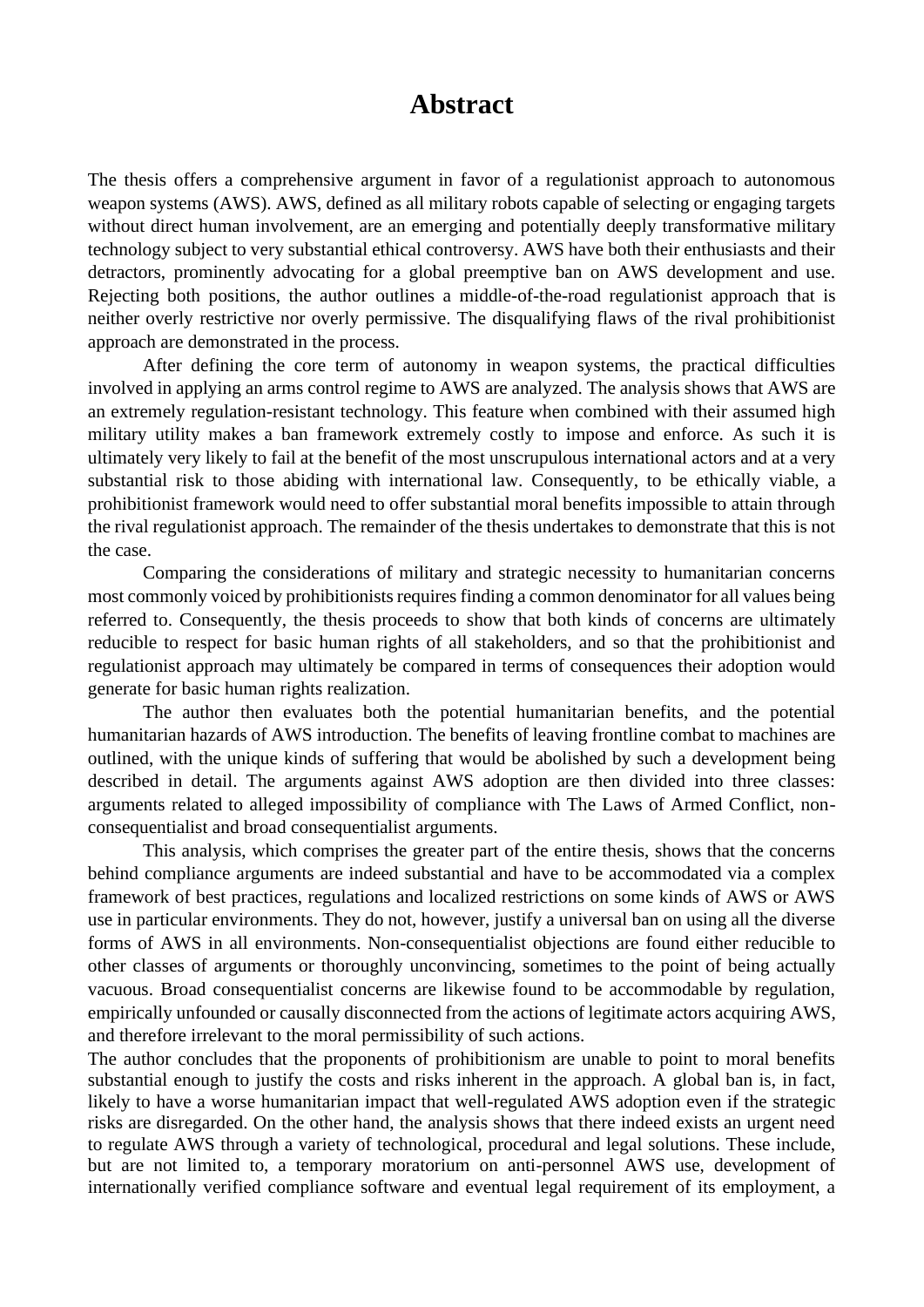## **Abstract**

The thesis offers a comprehensive argument in favor of a regulationist approach to autonomous weapon systems (AWS). AWS, defined as all military robots capable of selecting or engaging targets without direct human involvement, are an emerging and potentially deeply transformative military technology subject to very substantial ethical controversy. AWS have both their enthusiasts and their detractors, prominently advocating for a global preemptive ban on AWS development and use. Rejecting both positions, the author outlines a middle-of-the-road regulationist approach that is neither overly restrictive nor overly permissive. The disqualifying flaws of the rival prohibitionist approach are demonstrated in the process.

After defining the core term of autonomy in weapon systems, the practical difficulties involved in applying an arms control regime to AWS are analyzed. The analysis shows that AWS are an extremely regulation-resistant technology. This feature when combined with their assumed high military utility makes a ban framework extremely costly to impose and enforce. As such it is ultimately very likely to fail at the benefit of the most unscrupulous international actors and at a very substantial risk to those abiding with international law. Consequently, to be ethically viable, a prohibitionist framework would need to offer substantial moral benefits impossible to attain through the rival regulationist approach. The remainder of the thesis undertakes to demonstrate that this is not the case.

Comparing the considerations of military and strategic necessity to humanitarian concerns most commonly voiced by prohibitionists requires finding a common denominator for all values being referred to. Consequently, the thesis proceeds to show that both kinds of concerns are ultimately reducible to respect for basic human rights of all stakeholders, and so that the prohibitionist and regulationist approach may ultimately be compared in terms of consequences their adoption would generate for basic human rights realization.

The author then evaluates both the potential humanitarian benefits, and the potential humanitarian hazards of AWS introduction. The benefits of leaving frontline combat to machines are outlined, with the unique kinds of suffering that would be abolished by such a development being described in detail. The arguments against AWS adoption are then divided into three classes: arguments related to alleged impossibility of compliance with The Laws of Armed Conflict, nonconsequentialist and broad consequentialist arguments.

This analysis, which comprises the greater part of the entire thesis, shows that the concerns behind compliance arguments are indeed substantial and have to be accommodated via a complex framework of best practices, regulations and localized restrictions on some kinds of AWS or AWS use in particular environments. They do not, however, justify a universal ban on using all the diverse forms of AWS in all environments. Non-consequentialist objections are found either reducible to other classes of arguments or thoroughly unconvincing, sometimes to the point of being actually vacuous. Broad consequentialist concerns are likewise found to be accommodable by regulation, empirically unfounded or causally disconnected from the actions of legitimate actors acquiring AWS, and therefore irrelevant to the moral permissibility of such actions.

The author concludes that the proponents of prohibitionism are unable to point to moral benefits substantial enough to justify the costs and risks inherent in the approach. A global ban is, in fact, likely to have a worse humanitarian impact that well-regulated AWS adoption even if the strategic risks are disregarded. On the other hand, the analysis shows that there indeed exists an urgent need to regulate AWS through a variety of technological, procedural and legal solutions. These include, but are not limited to, a temporary moratorium on anti-personnel AWS use, development of internationally verified compliance software and eventual legal requirement of its employment, a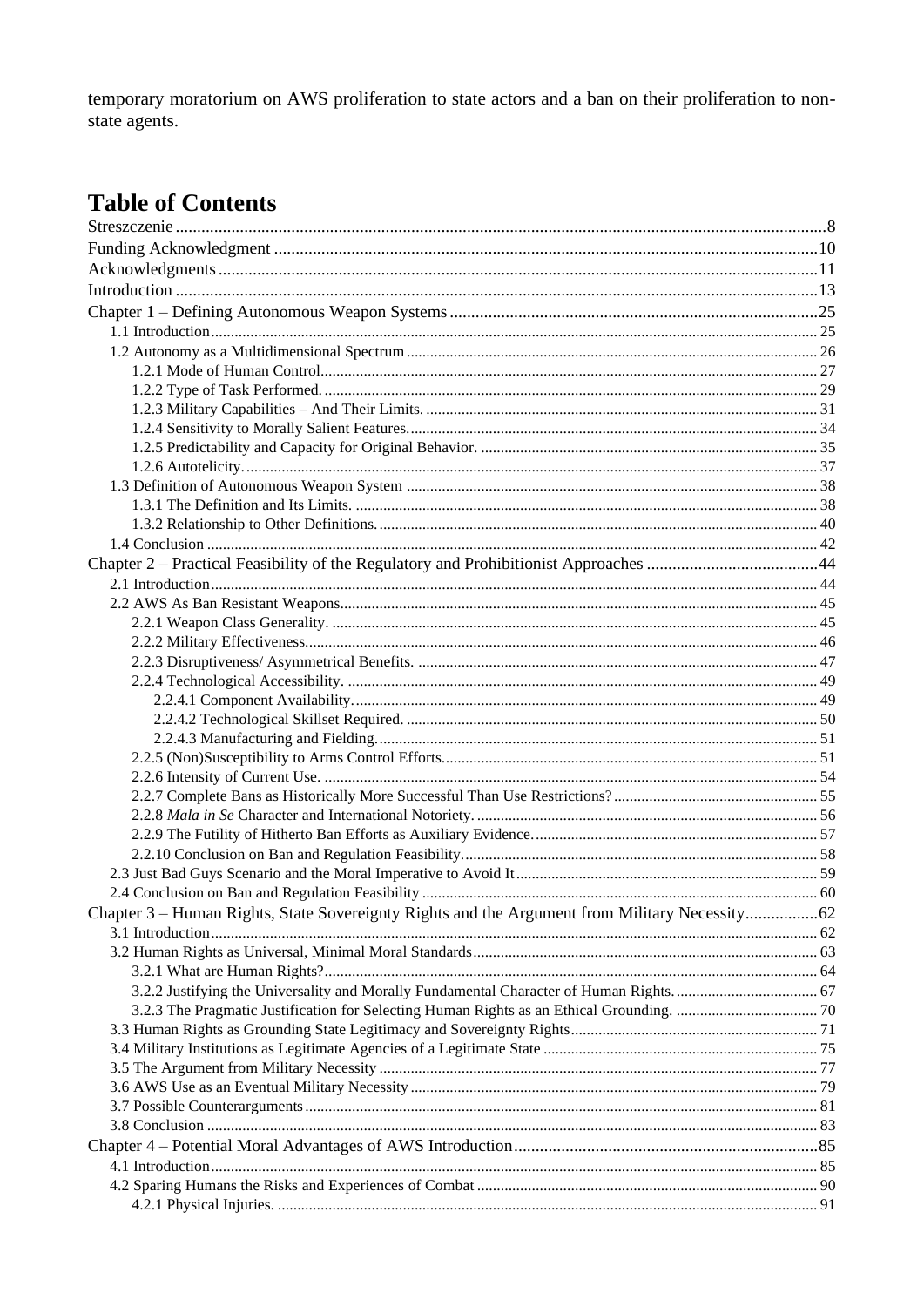temporary moratorium on AWS proliferation to state actors and a ban on their proliferation to nonstate agents.

## **Table of Contents**

| Chapter 3 - Human Rights, State Sovereignty Rights and the Argument from Military Necessity62 |  |
|-----------------------------------------------------------------------------------------------|--|
|                                                                                               |  |
|                                                                                               |  |
|                                                                                               |  |
|                                                                                               |  |
|                                                                                               |  |
|                                                                                               |  |
|                                                                                               |  |
|                                                                                               |  |
|                                                                                               |  |
|                                                                                               |  |
|                                                                                               |  |
|                                                                                               |  |
|                                                                                               |  |
|                                                                                               |  |
|                                                                                               |  |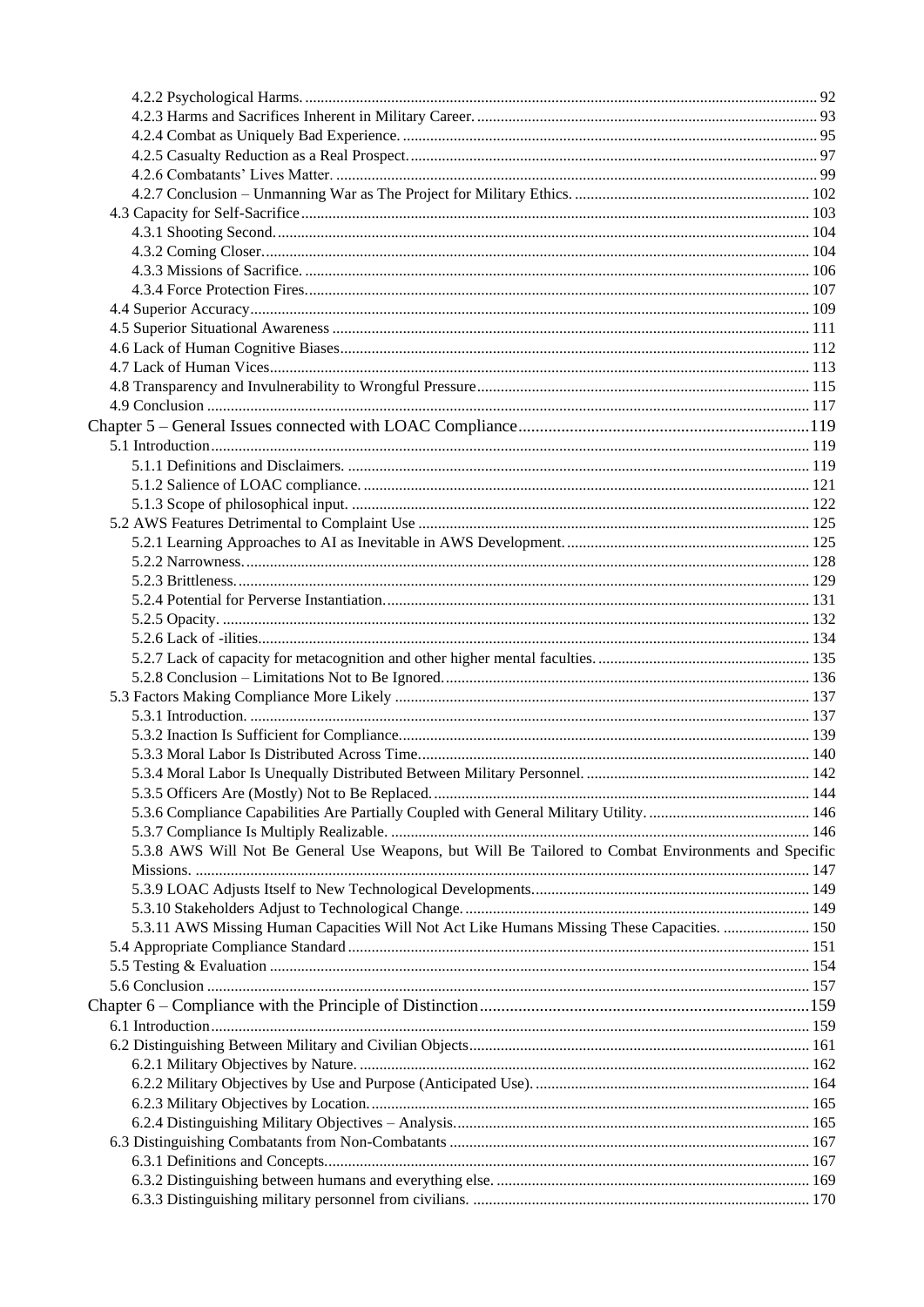| 5.3.8 AWS Will Not Be General Use Weapons, but Will Be Tailored to Combat Environments and Specific |  |
|-----------------------------------------------------------------------------------------------------|--|
|                                                                                                     |  |
|                                                                                                     |  |
|                                                                                                     |  |
|                                                                                                     |  |
| 5.3.11 AWS Missing Human Capacities Will Not Act Like Humans Missing These Capacities.  150         |  |
|                                                                                                     |  |
|                                                                                                     |  |
|                                                                                                     |  |
|                                                                                                     |  |
|                                                                                                     |  |
|                                                                                                     |  |
|                                                                                                     |  |
|                                                                                                     |  |
|                                                                                                     |  |
|                                                                                                     |  |
|                                                                                                     |  |
|                                                                                                     |  |
|                                                                                                     |  |
|                                                                                                     |  |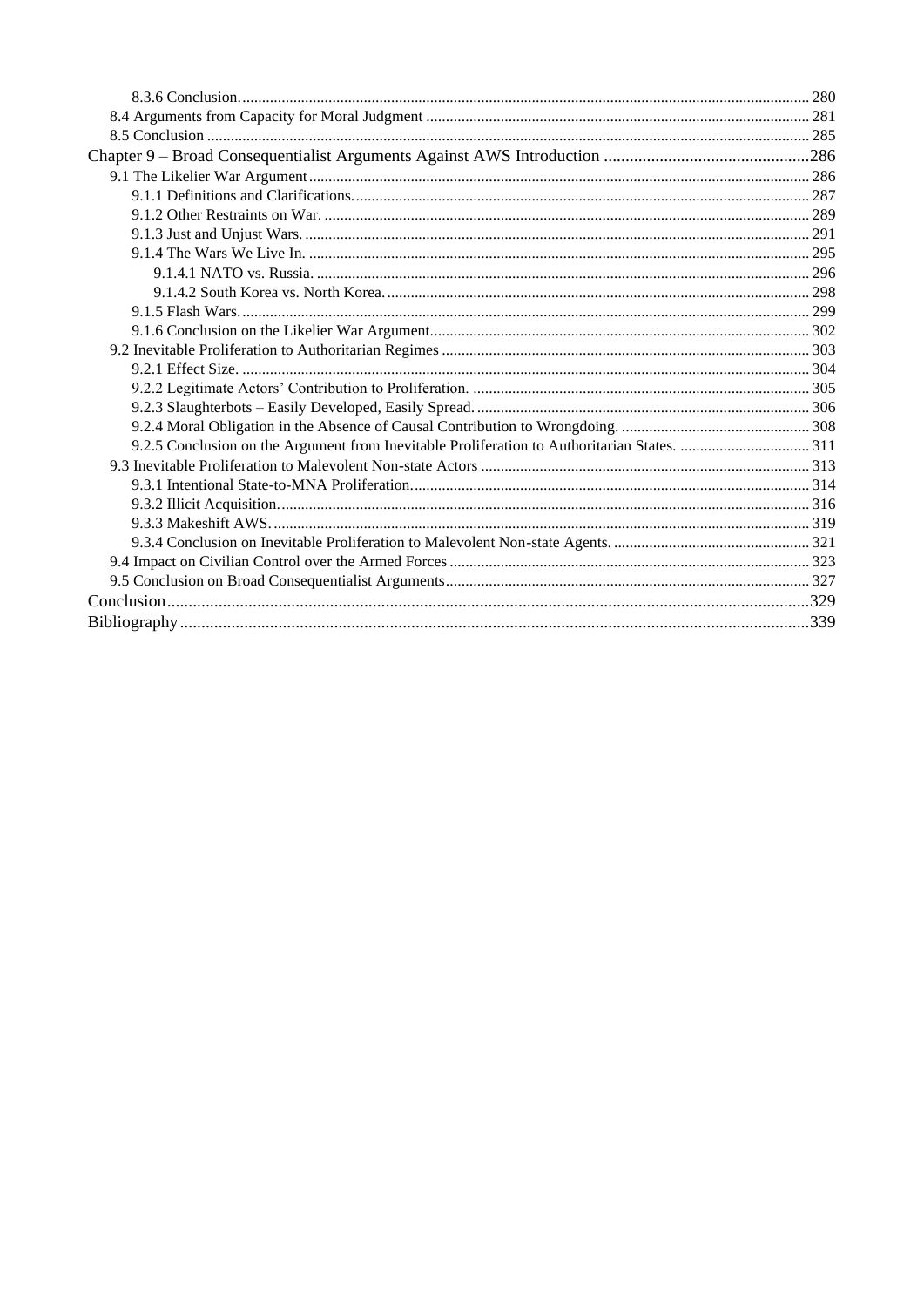<span id="page-4-0"></span>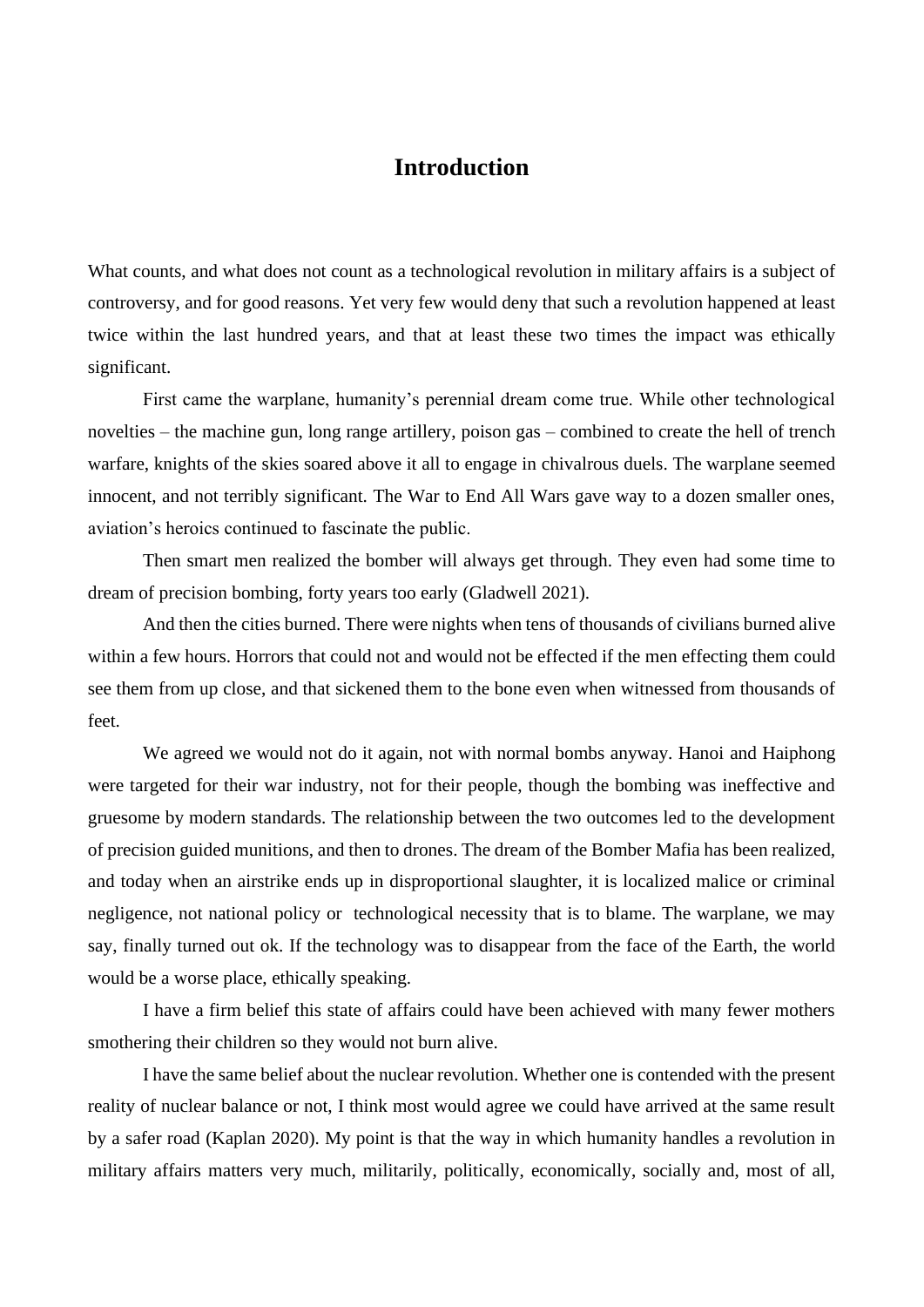## **Introduction**

<span id="page-5-1"></span><span id="page-5-0"></span>What counts, and what does not count as a technological revolution in military affairs is a subject of controversy, and for good reasons. Yet very few would deny that such a revolution happened at least twice within the last hundred years, and that at least these two times the impact was ethically significant.

First came the warplane, humanity's perennial dream come true. While other technological novelties – the machine gun, long range artillery, poison gas – combined to create the hell of trench warfare, knights of the skies soared above it all to engage in chivalrous duels. The warplane seemed innocent, and not terribly significant. The War to End All Wars gave way to a dozen smaller ones, aviation's heroics continued to fascinate the public.

Then smart men realized the bomber will always get through. They even had some time to dream of precision bombing, forty years too early (Gladwell 2021).

And then the cities burned. There were nights when tens of thousands of civilians burned alive within a few hours. Horrors that could not and would not be effected if the men effecting them could see them from up close, and that sickened them to the bone even when witnessed from thousands of feet.

We agreed we would not do it again, not with normal bombs anyway. Hanoi and Haiphong were targeted for their war industry, not for their people, though the bombing was ineffective and gruesome by modern standards. The relationship between the two outcomes led to the development of precision guided munitions, and then to drones. The dream of the Bomber Mafia has been realized, and today when an airstrike ends up in disproportional slaughter, it is localized malice or criminal negligence, not national policy or technological necessity that is to blame. The warplane, we may say, finally turned out ok. If the technology was to disappear from the face of the Earth, the world would be a worse place, ethically speaking.

I have a firm belief this state of affairs could have been achieved with many fewer mothers smothering their children so they would not burn alive.

I have the same belief about the nuclear revolution. Whether one is contended with the present reality of nuclear balance or not, I think most would agree we could have arrived at the same result by a safer road (Kaplan 2020). My point is that the way in which humanity handles a revolution in military affairs matters very much, militarily, politically, economically, socially and, most of all,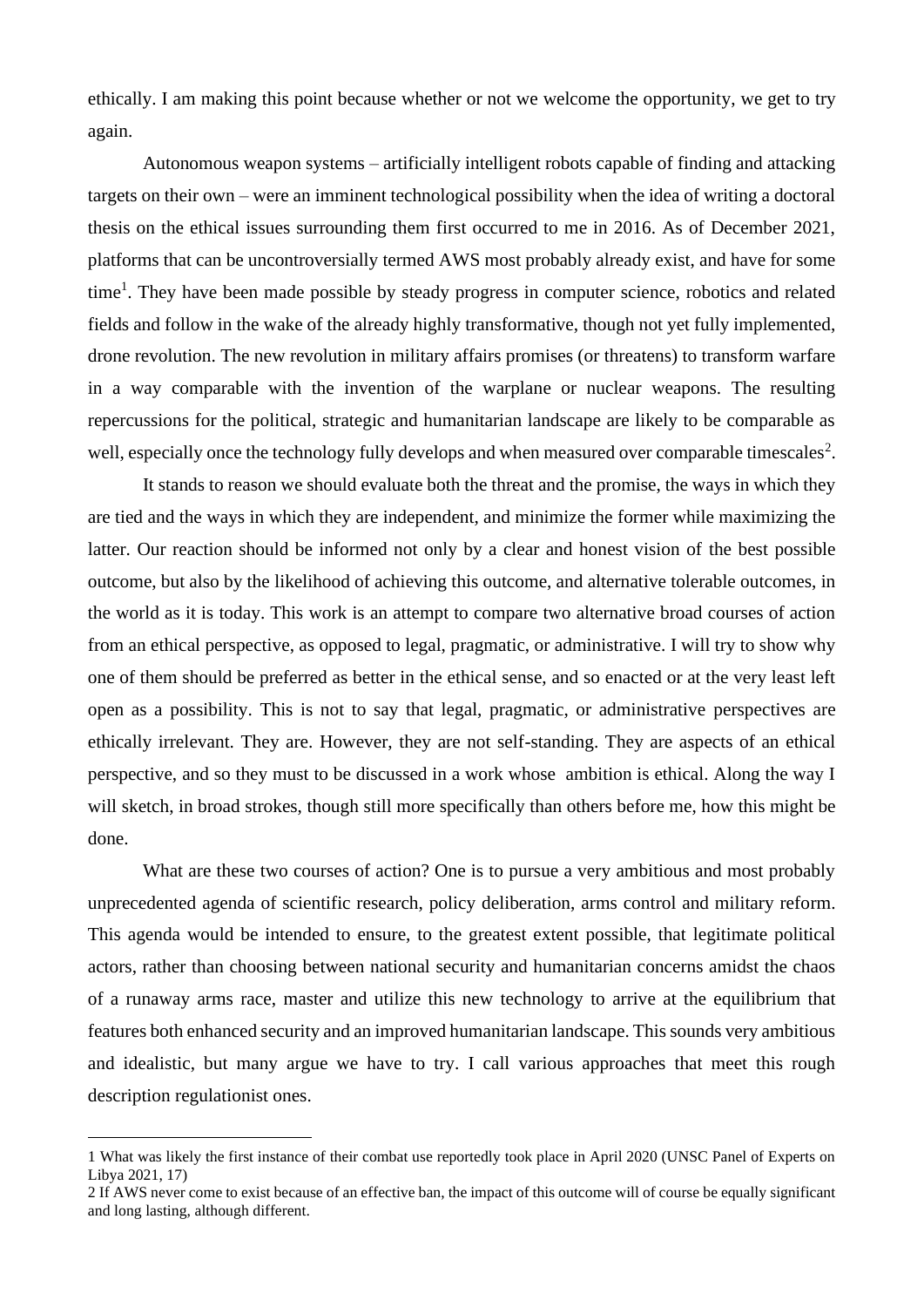ethically. I am making this point because whether or not we welcome the opportunity, we get to try again.

Autonomous weapon systems – artificially intelligent robots capable of finding and attacking targets on their own – were an imminent technological possibility when the idea of writing a doctoral thesis on the ethical issues surrounding them first occurred to me in 2016. As of December 2021, platforms that can be uncontroversially termed AWS most probably already exist, and have for some time<sup>1</sup>. They have been made possible by steady progress in computer science, robotics and related fields and follow in the wake of the already highly transformative, though not yet fully implemented, drone revolution. The new revolution in military affairs promises (or threatens) to transform warfare in a way comparable with the invention of the warplane or nuclear weapons. The resulting repercussions for the political, strategic and humanitarian landscape are likely to be comparable as well, especially once the technology fully develops and when measured over comparable timescales<sup>2</sup>.

It stands to reason we should evaluate both the threat and the promise, the ways in which they are tied and the ways in which they are independent, and minimize the former while maximizing the latter. Our reaction should be informed not only by a clear and honest vision of the best possible outcome, but also by the likelihood of achieving this outcome, and alternative tolerable outcomes, in the world as it is today. This work is an attempt to compare two alternative broad courses of action from an ethical perspective, as opposed to legal, pragmatic, or administrative. I will try to show why one of them should be preferred as better in the ethical sense, and so enacted or at the very least left open as a possibility. This is not to say that legal, pragmatic, or administrative perspectives are ethically irrelevant. They are. However, they are not self-standing. They are aspects of an ethical perspective, and so they must to be discussed in a work whose ambition is ethical. Along the way I will sketch, in broad strokes, though still more specifically than others before me, how this might be done.

What are these two courses of action? One is to pursue a very ambitious and most probably unprecedented agenda of scientific research, policy deliberation, arms control and military reform. This agenda would be intended to ensure, to the greatest extent possible, that legitimate political actors, rather than choosing between national security and humanitarian concerns amidst the chaos of a runaway arms race, master and utilize this new technology to arrive at the equilibrium that features both enhanced security and an improved humanitarian landscape. This sounds very ambitious and idealistic, but many argue we have to try. I call various approaches that meet this rough description regulationist ones.

<sup>1</sup> What was likely the first instance of their combat use reportedly took place in April 2020 (UNSC Panel of Experts on Libya 2021, 17)

<sup>2</sup> If AWS never come to exist because of an effective ban, the impact of this outcome will of course be equally significant and long lasting, although different.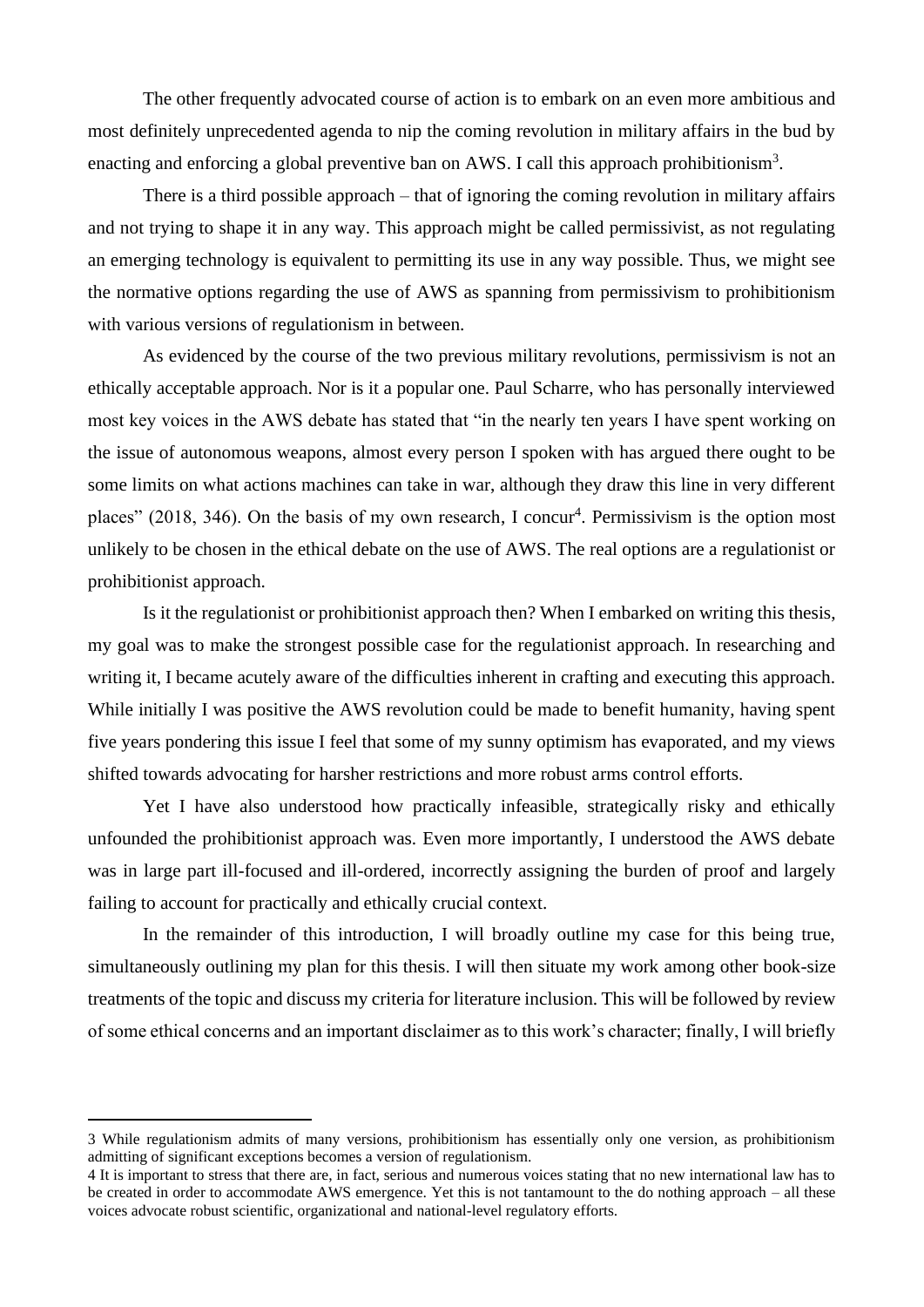The other frequently advocated course of action is to embark on an even more ambitious and most definitely unprecedented agenda to nip the coming revolution in military affairs in the bud by enacting and enforcing a global preventive ban on AWS. I call this approach prohibitionism<sup>3</sup>.

There is a third possible approach – that of ignoring the coming revolution in military affairs and not trying to shape it in any way. This approach might be called permissivist, as not regulating an emerging technology is equivalent to permitting its use in any way possible. Thus, we might see the normative options regarding the use of AWS as spanning from permissivism to prohibitionism with various versions of regulationism in between.

As evidenced by the course of the two previous military revolutions, permissivism is not an ethically acceptable approach. Nor is it a popular one. Paul Scharre, who has personally interviewed most key voices in the AWS debate has stated that "in the nearly ten years I have spent working on the issue of autonomous weapons, almost every person I spoken with has argued there ought to be some limits on what actions machines can take in war, although they draw this line in very different places" (2018, 346). On the basis of my own research, I concur<sup>4</sup>. Permissivism is the option most unlikely to be chosen in the ethical debate on the use of AWS. The real options are a regulationist or prohibitionist approach.

Is it the regulationist or prohibitionist approach then? When I embarked on writing this thesis, my goal was to make the strongest possible case for the regulationist approach. In researching and writing it, I became acutely aware of the difficulties inherent in crafting and executing this approach. While initially I was positive the AWS revolution could be made to benefit humanity, having spent five years pondering this issue I feel that some of my sunny optimism has evaporated, and my views shifted towards advocating for harsher restrictions and more robust arms control efforts.

Yet I have also understood how practically infeasible, strategically risky and ethically unfounded the prohibitionist approach was. Even more importantly, I understood the AWS debate was in large part ill-focused and ill-ordered, incorrectly assigning the burden of proof and largely failing to account for practically and ethically crucial context.

In the remainder of this introduction, I will broadly outline my case for this being true, simultaneously outlining my plan for this thesis. I will then situate my work among other book-size treatments of the topic and discuss my criteria for literature inclusion. This will be followed by review of some ethical concerns and an important disclaimer as to this work's character; finally, I will briefly

<sup>3</sup> While regulationism admits of many versions, prohibitionism has essentially only one version, as prohibitionism admitting of significant exceptions becomes a version of regulationism.

<sup>4</sup> It is important to stress that there are, in fact, serious and numerous voices stating that no new international law has to be created in order to accommodate AWS emergence. Yet this is not tantamount to the do nothing approach – all these voices advocate robust scientific, organizational and national-level regulatory efforts.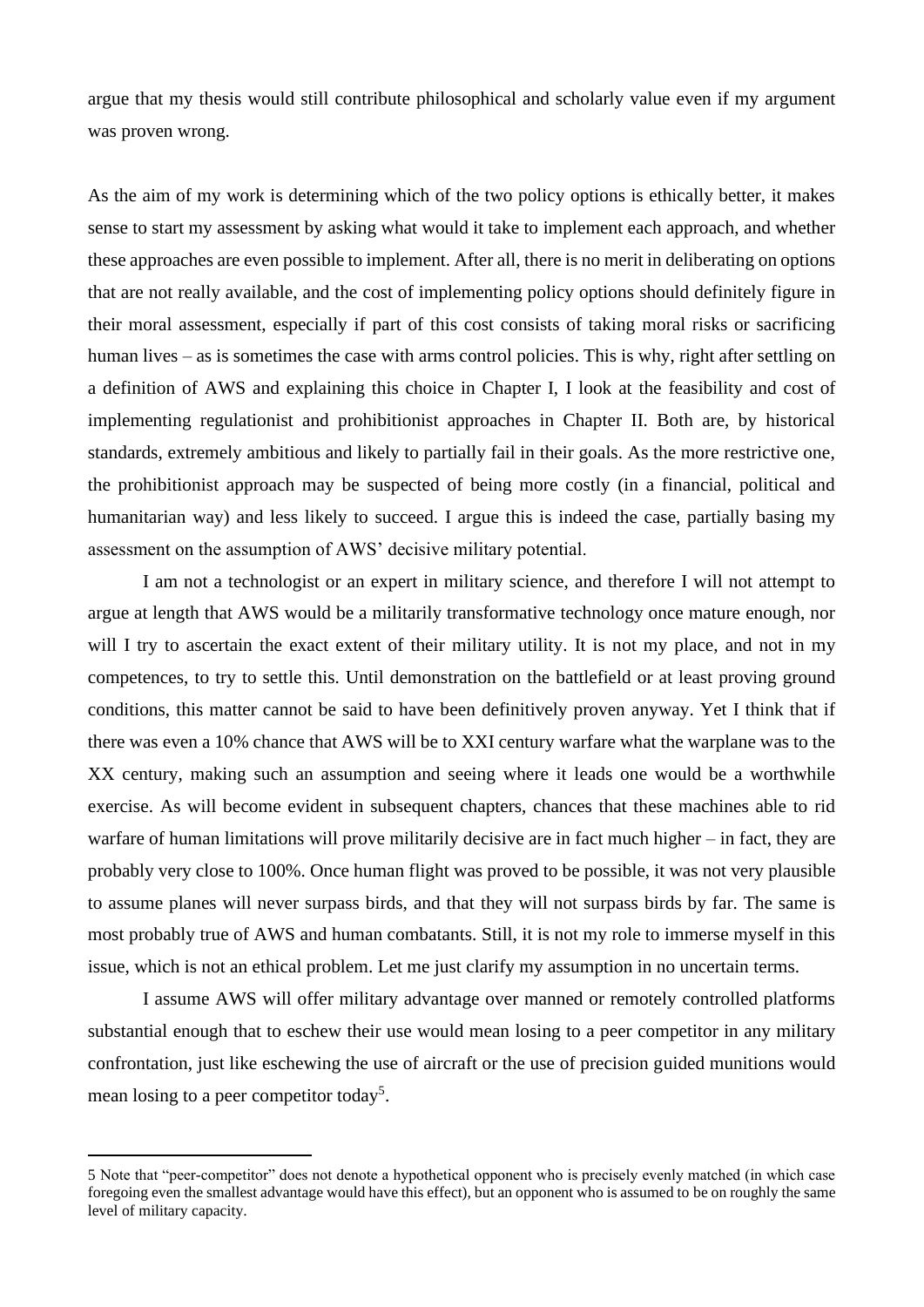argue that my thesis would still contribute philosophical and scholarly value even if my argument was proven wrong.

As the aim of my work is determining which of the two policy options is ethically better, it makes sense to start my assessment by asking what would it take to implement each approach, and whether these approaches are even possible to implement. After all, there is no merit in deliberating on options that are not really available, and the cost of implementing policy options should definitely figure in their moral assessment, especially if part of this cost consists of taking moral risks or sacrificing human lives – as is sometimes the case with arms control policies. This is why, right after settling on a definition of AWS and explaining this choice in Chapter I, I look at the feasibility and cost of implementing regulationist and prohibitionist approaches in Chapter II. Both are, by historical standards, extremely ambitious and likely to partially fail in their goals. As the more restrictive one, the prohibitionist approach may be suspected of being more costly (in a financial, political and humanitarian way) and less likely to succeed. I argue this is indeed the case, partially basing my assessment on the assumption of AWS' decisive military potential.

I am not a technologist or an expert in military science, and therefore I will not attempt to argue at length that AWS would be a militarily transformative technology once mature enough, nor will I try to ascertain the exact extent of their military utility. It is not my place, and not in my competences, to try to settle this. Until demonstration on the battlefield or at least proving ground conditions, this matter cannot be said to have been definitively proven anyway. Yet I think that if there was even a 10% chance that AWS will be to XXI century warfare what the warplane was to the XX century, making such an assumption and seeing where it leads one would be a worthwhile exercise. As will become evident in subsequent chapters, chances that these machines able to rid warfare of human limitations will prove militarily decisive are in fact much higher – in fact, they are probably very close to 100%. Once human flight was proved to be possible, it was not very plausible to assume planes will never surpass birds, and that they will not surpass birds by far. The same is most probably true of AWS and human combatants. Still, it is not my role to immerse myself in this issue, which is not an ethical problem. Let me just clarify my assumption in no uncertain terms.

I assume AWS will offer military advantage over manned or remotely controlled platforms substantial enough that to eschew their use would mean losing to a peer competitor in any military confrontation, just like eschewing the use of aircraft or the use of precision guided munitions would mean losing to a peer competitor today<sup>5</sup>.

<sup>5</sup> Note that "peer-competitor" does not denote a hypothetical opponent who is precisely evenly matched (in which case foregoing even the smallest advantage would have this effect), but an opponent who is assumed to be on roughly the same level of military capacity.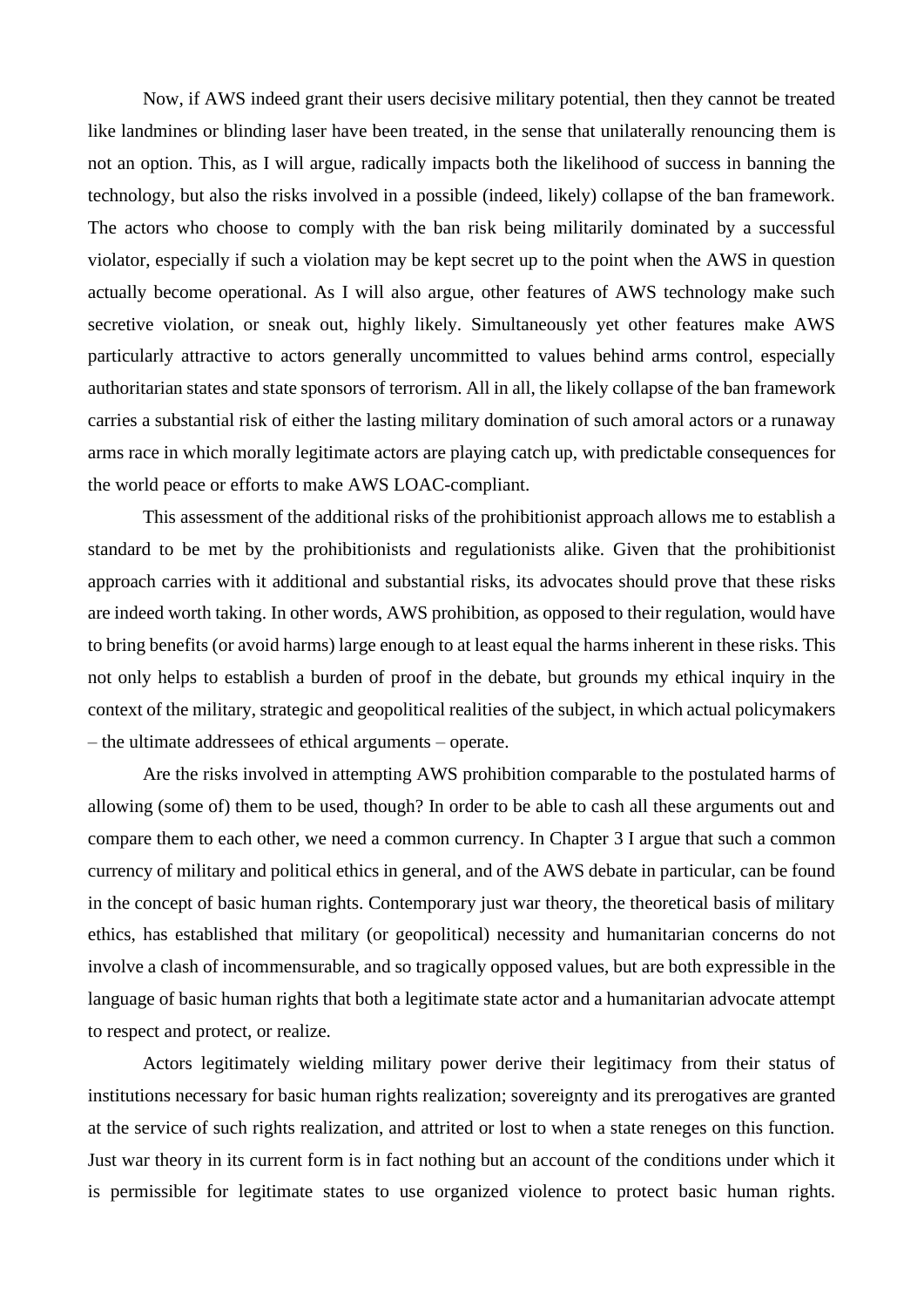Now, if AWS indeed grant their users decisive military potential, then they cannot be treated like landmines or blinding laser have been treated, in the sense that unilaterally renouncing them is not an option. This, as I will argue, radically impacts both the likelihood of success in banning the technology, but also the risks involved in a possible (indeed, likely) collapse of the ban framework. The actors who choose to comply with the ban risk being militarily dominated by a successful violator, especially if such a violation may be kept secret up to the point when the AWS in question actually become operational. As I will also argue, other features of AWS technology make such secretive violation, or sneak out, highly likely. Simultaneously yet other features make AWS particularly attractive to actors generally uncommitted to values behind arms control, especially authoritarian states and state sponsors of terrorism. All in all, the likely collapse of the ban framework carries a substantial risk of either the lasting military domination of such amoral actors or a runaway arms race in which morally legitimate actors are playing catch up, with predictable consequences for the world peace or efforts to make AWS LOAC-compliant.

This assessment of the additional risks of the prohibitionist approach allows me to establish a standard to be met by the prohibitionists and regulationists alike. Given that the prohibitionist approach carries with it additional and substantial risks, its advocates should prove that these risks are indeed worth taking. In other words, AWS prohibition, as opposed to their regulation, would have to bring benefits (or avoid harms) large enough to at least equal the harms inherent in these risks. This not only helps to establish a burden of proof in the debate, but grounds my ethical inquiry in the context of the military, strategic and geopolitical realities of the subject, in which actual policymakers – the ultimate addressees of ethical arguments – operate.

Are the risks involved in attempting AWS prohibition comparable to the postulated harms of allowing (some of) them to be used, though? In order to be able to cash all these arguments out and compare them to each other, we need a common currency. In Chapter 3 I argue that such a common currency of military and political ethics in general, and of the AWS debate in particular, can be found in the concept of basic human rights. Contemporary just war theory, the theoretical basis of military ethics, has established that military (or geopolitical) necessity and humanitarian concerns do not involve a clash of incommensurable, and so tragically opposed values, but are both expressible in the language of basic human rights that both a legitimate state actor and a humanitarian advocate attempt to respect and protect, or realize.

Actors legitimately wielding military power derive their legitimacy from their status of institutions necessary for basic human rights realization; sovereignty and its prerogatives are granted at the service of such rights realization, and attrited or lost to when a state reneges on this function. Just war theory in its current form is in fact nothing but an account of the conditions under which it is permissible for legitimate states to use organized violence to protect basic human rights.